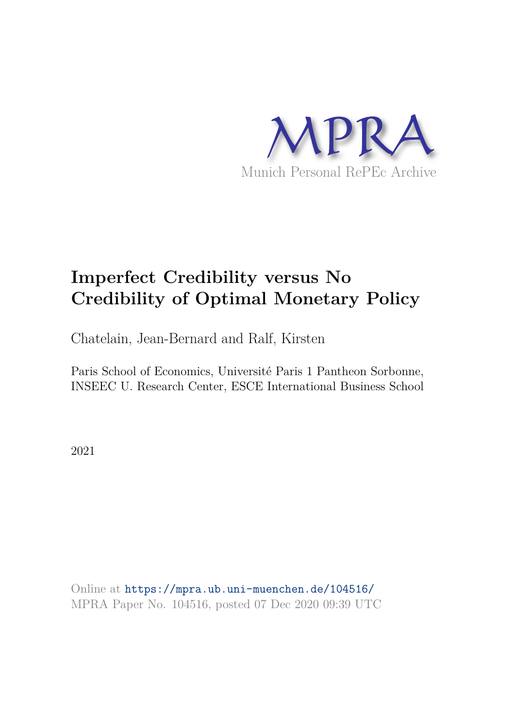

# **Imperfect Credibility versus No Credibility of Optimal Monetary Policy**

Chatelain, Jean-Bernard and Ralf, Kirsten

Paris School of Economics, Université Paris 1 Pantheon Sorbonne, INSEEC U. Research Center, ESCE International Business School

2021

Online at https://mpra.ub.uni-muenchen.de/104516/ MPRA Paper No. 104516, posted 07 Dec 2020 09:39 UTC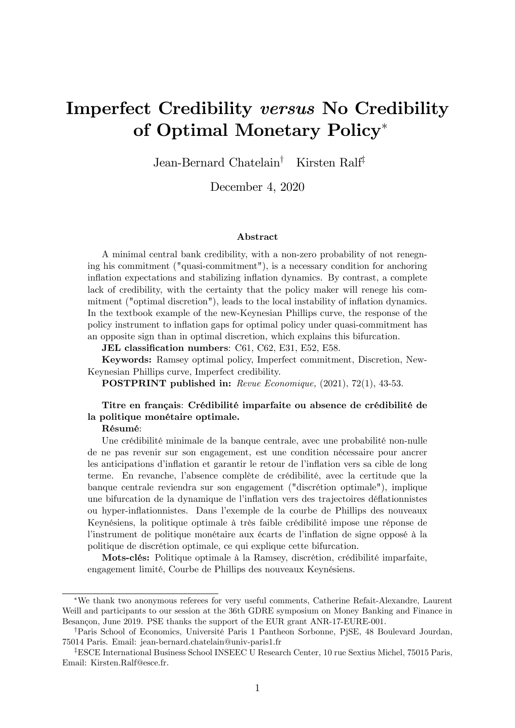# Imperfect Credibility versus No Credibility of Optimal Monetary Policy

Jean-Bernard Chatelain<sup>†</sup> Kirsten Ralf<sup>‡</sup>

December 4, 2020

#### Abstract

A minimal central bank credibility, with a non-zero probability of not renegning his commitment ("quasi-commitment"), is a necessary condition for anchoring inflation expectations and stabilizing inflation dynamics. By contrast, a complete lack of credibility, with the certainty that the policy maker will renege his commitment ("optimal discretion"), leads to the local instability of inflation dynamics. In the textbook example of the new-Keynesian Phillips curve, the response of the policy instrument to ináation gaps for optimal policy under quasi-commitment has an opposite sign than in optimal discretion, which explains this bifurcation.

JEL classification numbers: C61, C62, E31, E52, E58.

Keywords: Ramsey optimal policy, Imperfect commitment, Discretion, New-Keynesian Phillips curve, Imperfect credibility.

POSTPRINT published in: Revue Economique, (2021), 72(1), 43-53.

### Titre en français: Crédibilité imparfaite ou absence de crédibilité de la politique monétaire optimale.

#### RÈsumÈ:

Une crédibilité minimale de la banque centrale, avec une probabilité non-nulle de ne pas revenir sur son engagement, est une condition nÈcessaire pour ancrer les anticipations d'inflation et garantir le retour de l'inflation vers sa cible de long terme. En revanche, l'absence complète de crédibilité, avec la certitude que la banque centrale reviendra sur son engagement ("discrÈtion optimale"), implique une bifurcation de la dynamique de líináation vers des trajectoires dÈáationnistes ou hyper-ináationnistes. Dans líexemple de la courbe de Phillips des nouveaux Keynésiens, la politique optimale à très faible crédibilité impose une réponse de l'instrument de politique monétaire aux écarts de l'inflation de signe opposé à la politique de discrétion optimale, ce qui explique cette bifurcation.

Mots-clés: Politique optimale à la Ramsey, discrétion, crédibilité imparfaite, engagement limité, Courbe de Phillips des nouveaux Keynésiens.

We thank two anonymous referees for very useful comments, Catherine Refait-Alexandre, Laurent Weill and participants to our session at the 36th GDRE symposium on Money Banking and Finance in Besançon, June 2019. PSE thanks the support of the EUR grant ANR-17-EURE-001.

<sup>&</sup>lt;sup>†</sup>Paris School of Economics, Université Paris 1 Pantheon Sorbonne, PjSE, 48 Boulevard Jourdan, 75014 Paris. Email: jean-bernard.chatelain@univ-paris1.fr

<sup>&</sup>lt;sup>‡</sup>ESCE International Business School INSEEC U Research Center, 10 rue Sextius Michel, 75015 Paris, Email: Kirsten.Ralf@esce.fr.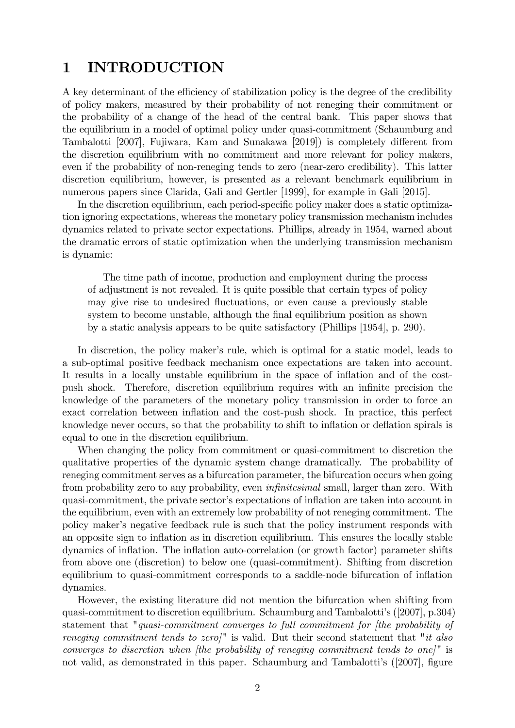# 1 INTRODUCTION

A key determinant of the efficiency of stabilization policy is the degree of the credibility of policy makers, measured by their probability of not reneging their commitment or the probability of a change of the head of the central bank. This paper shows that the equilibrium in a model of optimal policy under quasi-commitment (Schaumburg and Tambalotti [2007], Fujiwara, Kam and Sunakawa [2019]) is completely different from the discretion equilibrium with no commitment and more relevant for policy makers, even if the probability of non-reneging tends to zero (near-zero credibility). This latter discretion equilibrium, however, is presented as a relevant benchmark equilibrium in numerous papers since Clarida, Gali and Gertler [1999], for example in Gali [2015].

In the discretion equilibrium, each period-specific policy maker does a static optimization ignoring expectations, whereas the monetary policy transmission mechanism includes dynamics related to private sector expectations. Phillips, already in 1954, warned about the dramatic errors of static optimization when the underlying transmission mechanism is dynamic:

The time path of income, production and employment during the process of adjustment is not revealed. It is quite possible that certain types of policy may give rise to undesired fluctuations, or even cause a previously stable system to become unstable, although the final equilibrium position as shown by a static analysis appears to be quite satisfactory (Phillips [1954], p. 290).

In discretion, the policy maker's rule, which is optimal for a static model, leads to a sub-optimal positive feedback mechanism once expectations are taken into account. It results in a locally unstable equilibrium in the space of inflation and of the costpush shock. Therefore, discretion equilibrium requires with an infinite precision the knowledge of the parameters of the monetary policy transmission in order to force an exact correlation between inflation and the cost-push shock. In practice, this perfect knowledge never occurs, so that the probability to shift to inflation or deflation spirals is equal to one in the discretion equilibrium.

When changing the policy from commitment or quasi-commitment to discretion the qualitative properties of the dynamic system change dramatically. The probability of reneging commitment serves as a bifurcation parameter, the bifurcation occurs when going from probability zero to any probability, even *infinitesimal* small, larger than zero. With quasi-commitment, the private sector's expectations of inflation are taken into account in the equilibrium, even with an extremely low probability of not reneging commitment. The policy maker's negative feedback rule is such that the policy instrument responds with an opposite sign to inflation as in discretion equilibrium. This ensures the locally stable dynamics of inflation. The inflation auto-correlation (or growth factor) parameter shifts from above one (discretion) to below one (quasi-commitment). Shifting from discretion equilibrium to quasi-commitment corresponds to a saddle-node bifurcation of ináation dynamics.

However, the existing literature did not mention the bifurcation when shifting from quasi-commitment to discretion equilibrium. Schaumburg and Tambalottiís ([2007], p.304) statement that "quasi-commitment converges to full commitment for [the probability of reneging commitment tends to zero]" is valid. But their second statement that "it also converges to discretion when *[the probability of reneging commitment tends to one*]<sup>"</sup> is not valid, as demonstrated in this paper. Schaumburg and Tambalotti's  $(2007)$ , figure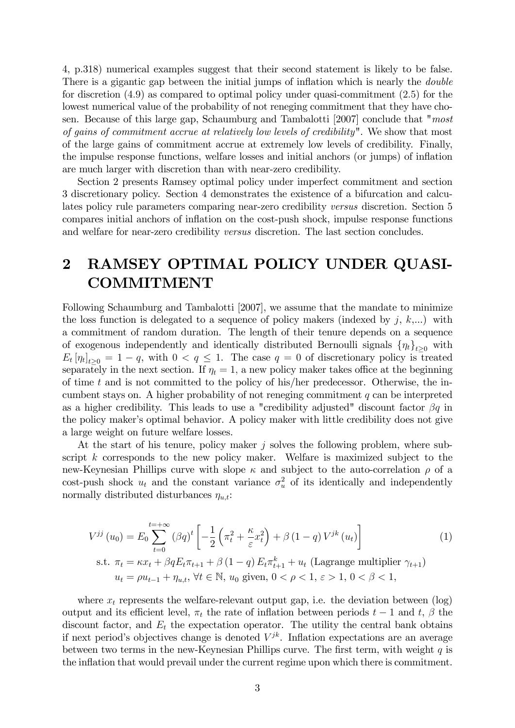4, p.318) numerical examples suggest that their second statement is likely to be false. There is a gigantic gap between the initial jumps of inflation which is nearly the *double* for discretion (4:9) as compared to optimal policy under quasi-commitment (2:5) for the lowest numerical value of the probability of not reneging commitment that they have chosen. Because of this large gap, Schaumburg and Tambalotti [2007] conclude that "most of gains of commitment accrue at relatively low levels of credibility". We show that most of the large gains of commitment accrue at extremely low levels of credibility. Finally, the impulse response functions, welfare losses and initial anchors (or jumps) of ináation are much larger with discretion than with near-zero credibility.

Section 2 presents Ramsey optimal policy under imperfect commitment and section 3 discretionary policy. Section 4 demonstrates the existence of a bifurcation and calculates policy rule parameters comparing near-zero credibility versus discretion. Section 5 compares initial anchors of ináation on the cost-push shock, impulse response functions and welfare for near-zero credibility versus discretion. The last section concludes.

# 2 RAMSEY OPTIMAL POLICY UNDER QUASI-COMMITMENT

Following Schaumburg and Tambalotti [2007], we assume that the mandate to minimize the loss function is delegated to a sequence of policy makers (indexed by  $j, k,...$ ) with a commitment of random duration. The length of their tenure depends on a sequence of exogenous independently and identically distributed Bernoulli signals  $\{\eta_t\}_{t>0}$  with  $E_t[\eta_t]_{t\geq 0} = 1 - q$ , with  $0 < q \leq 1$ . The case  $q = 0$  of discretionary policy is treated separately in the next section. If  $\eta_t = 1$ , a new policy maker takes office at the beginning of time t and is not committed to the policy of his/her predecessor. Otherwise, the incumbent stays on. A higher probability of not reneging commitment  $q$  can be interpreted as a higher credibility. This leads to use a "credibility adjusted" discount factor  $\beta q$  in the policy maker's optimal behavior. A policy maker with little credibility does not give a large weight on future welfare losses.

At the start of his tenure, policy maker  $j$  solves the following problem, where subscript k corresponds to the new policy maker. Welfare is maximized subject to the new-Keynesian Phillips curve with slope  $\kappa$  and subject to the auto-correlation  $\rho$  of a cost-push shock  $u_t$  and the constant variance  $\sigma_u^2$  of its identically and independently normally distributed disturbances  $\eta_{u,t}$ :

$$
V^{jj}(u_0) = E_0 \sum_{t=0}^{t=+\infty} (\beta q)^t \left[ -\frac{1}{2} \left( \pi_t^2 + \frac{\kappa}{\varepsilon} x_t^2 \right) + \beta (1-q) V^{jk}(u_t) \right]
$$
  
s.t.  $\pi_t = \kappa x_t + \beta q E_t \pi_{t+1} + \beta (1-q) E_t \pi_{t+1}^k + u_t$  (Lagrange multiplier  $\gamma_{t+1}$ )  
 $u_t = \rho u_{t-1} + \eta_{u,t}, \forall t \in \mathbb{N}, u_0 \text{ given, } 0 < \rho < 1, \varepsilon > 1, 0 < \beta < 1,$ 

where  $x_t$  represents the welfare-relevant output gap, i.e. the deviation between  $(\log)$ output and its efficient level,  $\pi_t$  the rate of inflation between periods  $t-1$  and  $t, \beta$  the discount factor, and  $E_t$  the expectation operator. The utility the central bank obtains if next period's objectives change is denoted  $V^{jk}$ . Inflation expectations are an average between two terms in the new-Keynesian Phillips curve. The first term, with weight  $q$  is the inflation that would prevail under the current regime upon which there is commitment.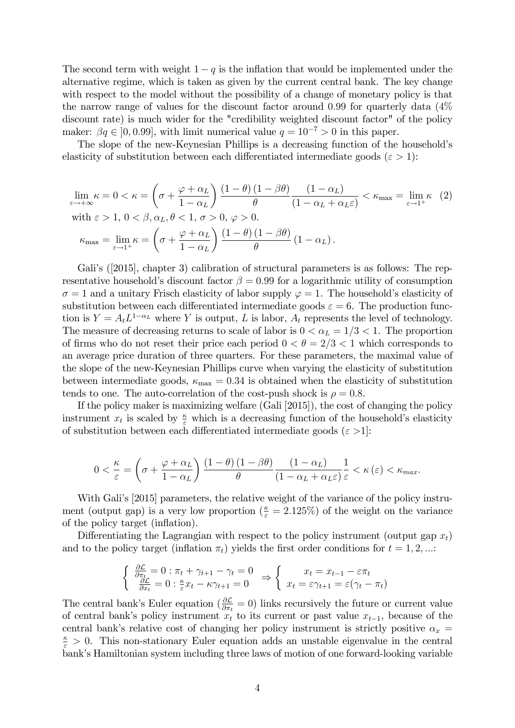The second term with weight  $1 - q$  is the inflation that would be implemented under the alternative regime, which is taken as given by the current central bank. The key change with respect to the model without the possibility of a change of monetary policy is that the narrow range of values for the discount factor around 0:99 for quarterly data (4% discount rate) is much wider for the "credibility weighted discount factor" of the policy maker:  $\beta q \in [0, 0.99]$ , with limit numerical value  $q = 10^{-7} > 0$  in this paper.

The slope of the new-Keynesian Phillips is a decreasing function of the household's elasticity of substitution between each differentiated intermediate goods ( $\varepsilon > 1$ ):

$$
\lim_{\varepsilon \to +\infty} \kappa = 0 < \kappa = \left(\sigma + \frac{\varphi + \alpha_L}{1 - \alpha_L}\right) \frac{(1 - \theta)(1 - \beta\theta)}{\theta} \frac{(1 - \alpha_L)}{(1 - \alpha_L + \alpha_L \varepsilon)} < \kappa_{\text{max}} = \lim_{\varepsilon \to 1^+} \kappa \tag{2}
$$
\n
$$
\text{with } \varepsilon > 1, 0 < \beta, \alpha_L, \theta < 1, \sigma > 0, \varphi > 0.
$$
\n
$$
\kappa_{\text{max}} = \lim_{\varepsilon \to 1^+} \kappa = \left(\sigma + \frac{\varphi + \alpha_L}{1 - \alpha_L}\right) \frac{(1 - \theta)(1 - \beta\theta)}{\theta} (1 - \alpha_L).
$$

Gali's ([2015], chapter 3) calibration of structural parameters is as follows: The representative household's discount factor  $\beta = 0.99$  for a logarithmic utility of consumption  $\sigma = 1$  and a unitary Frisch elasticity of labor supply  $\varphi = 1$ . The household's elasticity of substitution between each differentiated intermediate goods  $\varepsilon = 6$ . The production function is  $Y = A_t L^{1-\alpha_L}$  where Y is output, L is labor,  $A_t$  represents the level of technology. The measure of decreasing returns to scale of labor is  $0 < \alpha_L = 1/3 < 1$ . The proportion of firms who do not reset their price each period  $0 < \theta = 2/3 < 1$  which corresponds to an average price duration of three quarters. For these parameters, the maximal value of the slope of the new-Keynesian Phillips curve when varying the elasticity of substitution between intermediate goods,  $\kappa_{\text{max}} = 0.34$  is obtained when the elasticity of substitution tends to one. The auto-correlation of the cost-push shock is  $\rho = 0.8$ .

If the policy maker is maximizing welfare (Gali [2015]), the cost of changing the policy instrument  $x_t$  is scaled by  $\frac{\kappa}{\varepsilon}$  which is a decreasing function of the household's elasticity of substitution between each differentiated intermediate goods ( $\varepsilon > 1$ ):

$$
0 < \frac{\kappa}{\varepsilon} = \left(\sigma + \frac{\varphi + \alpha_L}{1 - \alpha_L}\right) \frac{\left(1 - \theta\right)\left(1 - \beta\theta\right)}{\theta} \frac{\left(1 - \alpha_L\right)}{\left(1 - \alpha_L + \alpha_L\varepsilon\right)} \frac{1}{\varepsilon} < \kappa\left(\varepsilon\right) < \kappa_{\text{max}}.
$$

With Gali's [2015] parameters, the relative weight of the variance of the policy instrument (output gap) is a very low proportion ( $\frac{\kappa}{\varepsilon} = 2.125\%$ ) of the weight on the variance of the policy target (inflation).

Differentiating the Lagrangian with respect to the policy instrument (output gap  $x_t$ ) and to the policy target (inflation  $\pi_t$ ) yields the first order conditions for  $t = 1, 2, ...$ :

$$
\begin{cases} \frac{\partial \mathcal{L}}{\partial \pi_t} = 0 : \pi_t + \gamma_{t+1} - \gamma_t = 0\\ \frac{\partial \mathcal{L}}{\partial x_t} = 0 : \frac{\kappa}{\varepsilon} x_t - \kappa \gamma_{t+1} = 0 \end{cases} \Rightarrow \begin{cases} x_t = x_{t-1} - \varepsilon \pi_t\\ x_t = \varepsilon \gamma_{t+1} = \varepsilon (\gamma_t - \pi_t) \end{cases}
$$

The central bank's Euler equation ( $\frac{\partial \mathcal{L}}{\partial \pi_t} = 0$ ) links recursively the future or current value of central bank's policy instrument  $x_t$  to its current or past value  $x_{t-1}$ , because of the central bank's relative cost of changing her policy instrument is strictly positive  $\alpha_x$  $\frac{\kappa}{\varepsilon} > 0$ . This non-stationary Euler equation adds an unstable eigenvalue in the central bank's Hamiltonian system including three laws of motion of one forward-looking variable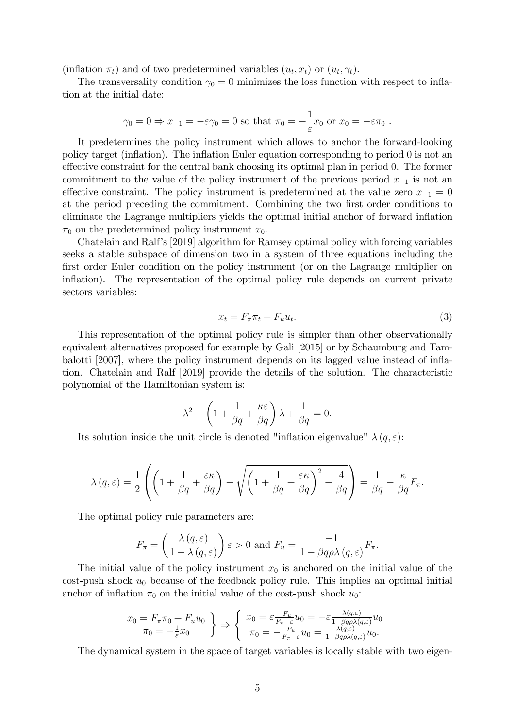(inflation  $\pi_t$ ) and of two predetermined variables  $(u_t, x_t)$  or  $(u_t, \gamma_t)$ .

The transversality condition  $\gamma_0 = 0$  minimizes the loss function with respect to inflation at the initial date:

$$
\gamma_0 = 0 \Rightarrow x_{-1} = -\varepsilon \gamma_0 = 0
$$
 so that  $\pi_0 = -\frac{1}{\varepsilon} x_0$  or  $x_0 = -\varepsilon \pi_0$ .

It predetermines the policy instrument which allows to anchor the forward-looking policy target (ináation). The ináation Euler equation corresponding to period 0 is not an effective constraint for the central bank choosing its optimal plan in period 0. The former commitment to the value of the policy instrument of the previous period  $x_{-1}$  is not an effective constraint. The policy instrument is predetermined at the value zero  $x_{-1} = 0$ at the period preceding the commitment. Combining the two first order conditions to eliminate the Lagrange multipliers yields the optimal initial anchor of forward ináation  $\pi_0$  on the predetermined policy instrument  $x_0$ .

Chatelain and Ralfís [2019] algorithm for Ramsey optimal policy with forcing variables seeks a stable subspace of dimension two in a system of three equations including the first order Euler condition on the policy instrument (or on the Lagrange multiplier on inflation). The representation of the optimal policy rule depends on current private sectors variables:

$$
x_t = F_{\pi}\pi_t + F_u u_t. \tag{3}
$$

This representation of the optimal policy rule is simpler than other observationally equivalent alternatives proposed for example by Gali [2015] or by Schaumburg and Tambalotti [2007], where the policy instrument depends on its lagged value instead of inflation. Chatelain and Ralf [2019] provide the details of the solution. The characteristic polynomial of the Hamiltonian system is:

$$
\lambda^{2} - \left(1 + \frac{1}{\beta q} + \frac{\kappa \varepsilon}{\beta q}\right)\lambda + \frac{1}{\beta q} = 0.
$$

Its solution inside the unit circle is denoted "inflation eigenvalue"  $\lambda(q,\varepsilon)$ :

$$
\lambda(q,\varepsilon) = \frac{1}{2}\left( \left(1 + \frac{1}{\beta q} + \frac{\varepsilon \kappa}{\beta q}\right) - \sqrt{\left(1 + \frac{1}{\beta q} + \frac{\varepsilon \kappa}{\beta q}\right)^2 - \frac{4}{\beta q}}\right) = \frac{1}{\beta q} - \frac{\kappa}{\beta q}F_{\pi}.
$$

The optimal policy rule parameters are:

$$
F_{\pi} = \left(\frac{\lambda(q,\varepsilon)}{1-\lambda(q,\varepsilon)}\right)\varepsilon > 0 \text{ and } F_u = \frac{-1}{1-\beta q \rho \lambda(q,\varepsilon)} F_{\pi}.
$$

The initial value of the policy instrument  $x_0$  is anchored on the initial value of the cost-push shock  $u_0$  because of the feedback policy rule. This implies an optimal initial anchor of inflation  $\pi_0$  on the initial value of the cost-push shock  $u_0$ :

$$
x_0 = F_{\pi}\pi_0 + F_u u_0
$$
  
\n
$$
\pi_0 = -\frac{1}{\varepsilon}x_0
$$
  
\n
$$
\left\{\n\begin{array}{l}\nx_0 = \varepsilon \frac{-F_u}{F_{\pi} + \varepsilon} u_0 = -\varepsilon \frac{\lambda(q, \varepsilon)}{1 - \beta q \rho \lambda(q, \varepsilon)} u_0 \\
\pi_0 = -\frac{F_u}{F_{\pi} + \varepsilon} u_0 = \frac{\lambda(q, \varepsilon)}{1 - \beta q \rho \lambda(q, \varepsilon)} u_0.\n\end{array}\n\right.
$$

The dynamical system in the space of target variables is locally stable with two eigen-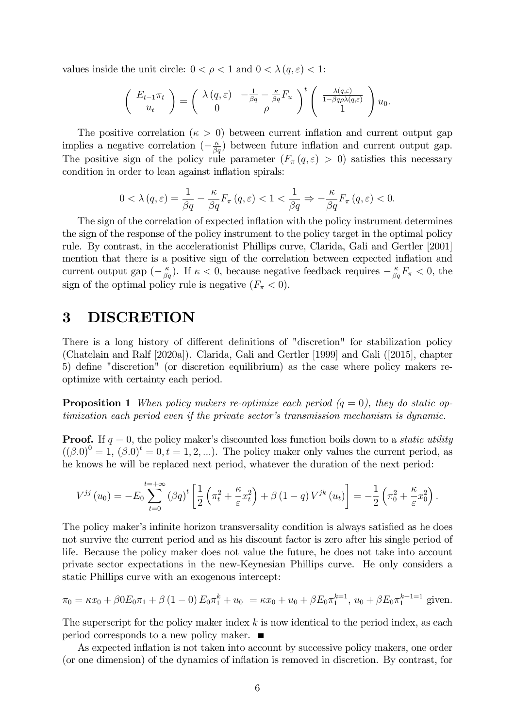values inside the unit circle:  $0 < \rho < 1$  and  $0 < \lambda (q, \varepsilon) < 1$ :

$$
\begin{pmatrix} E_{t-1}\pi_t \\ u_t \end{pmatrix} = \begin{pmatrix} \lambda(q,\varepsilon) & -\frac{1}{\beta q} - \frac{\kappa}{\beta q}F_u \\ 0 & \rho \end{pmatrix}^t \begin{pmatrix} \frac{\lambda(q,\varepsilon)}{1-\beta q\rho\lambda(q,\varepsilon)} \\ 1 \end{pmatrix} u_0.
$$

The positive correlation ( $\kappa > 0$ ) between current inflation and current output gap implies a negative correlation  $\left(-\frac{\kappa}{\beta q}\right)$  between future inflation and current output gap. The positive sign of the policy rule parameter  $(F_\pi(q, \varepsilon) > 0)$  satisfies this necessary condition in order to lean against inflation spirals:

$$
0 < \lambda(q, \varepsilon) = \frac{1}{\beta q} - \frac{\kappa}{\beta q} F_{\pi}(q, \varepsilon) < 1 < \frac{1}{\beta q} \Rightarrow -\frac{\kappa}{\beta q} F_{\pi}(q, \varepsilon) < 0.
$$

The sign of the correlation of expected inflation with the policy instrument determines the sign of the response of the policy instrument to the policy target in the optimal policy rule. By contrast, in the accelerationist Phillips curve, Clarida, Gali and Gertler [2001] mention that there is a positive sign of the correlation between expected inflation and current output gap  $\left(-\frac{\kappa}{\beta q}\right)$ . If  $\kappa < 0$ , because negative feedback requires  $-\frac{\kappa}{\beta q}F_{\pi} < 0$ , the sign of the optimal policy rule is negative  $(F_{\pi} < 0)$ .

## 3 DISCRETION

There is a long history of different definitions of "discretion" for stabilization policy (Chatelain and Ralf [2020a]). Clarida, Gali and Gertler [1999] and Gali ([2015], chapter 5) define "discretion" (or discretion equilibrium) as the case where policy makers reoptimize with certainty each period.

**Proposition 1** When policy makers re-optimize each period  $(q = 0)$ , they do static optimization each period even if the private sector's transmission mechanism is dynamic.

**Proof.** If  $q = 0$ , the policy maker's discounted loss function boils down to a *static utility*  $((\beta.0)^0 = 1, (\beta.0)^t = 0, t = 1, 2, \ldots)$ . The policy maker only values the current period, as he knows he will be replaced next period, whatever the duration of the next period:

$$
V^{jj}(u_0) = -E_0 \sum_{t=0}^{t=+\infty} (\beta q)^t \left[ \frac{1}{2} \left( \pi_t^2 + \frac{\kappa}{\varepsilon} x_t^2 \right) + \beta (1-q) V^{jk}(u_t) \right] = -\frac{1}{2} \left( \pi_0^2 + \frac{\kappa}{\varepsilon} x_0^2 \right).
$$

The policy maker's infinite horizon transversality condition is always satisfied as he does not survive the current period and as his discount factor is zero after his single period of life. Because the policy maker does not value the future, he does not take into account private sector expectations in the new-Keynesian Phillips curve. He only considers a static Phillips curve with an exogenous intercept:

$$
\pi_0 = \kappa x_0 + \beta 0 E_0 \pi_1 + \beta (1 - 0) E_0 \pi_1^k + u_0 = \kappa x_0 + u_0 + \beta E_0 \pi_1^{k-1}, u_0 + \beta E_0 \pi_1^{k+1-1} \text{ given.}
$$

The superscript for the policy maker index  $k$  is now identical to the period index, as each period corresponds to a new policy maker.

As expected inflation is not taken into account by successive policy makers, one order (or one dimension) of the dynamics of ináation is removed in discretion. By contrast, for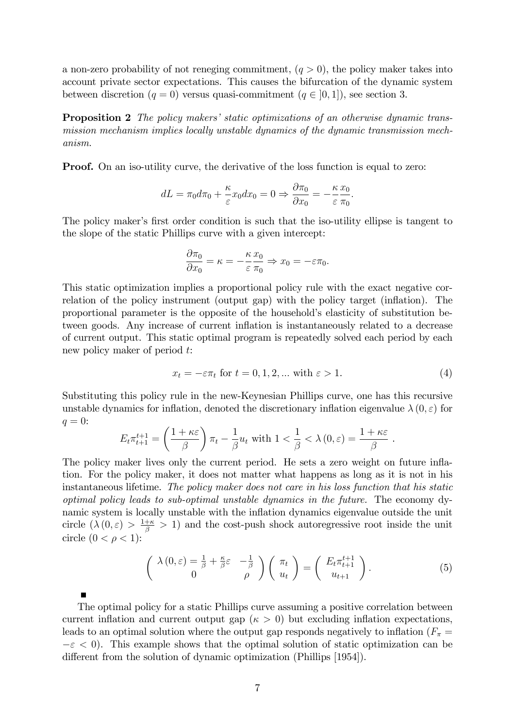a non-zero probability of not reneging commitment,  $(q > 0)$ , the policy maker takes into account private sector expectations. This causes the bifurcation of the dynamic system between discretion  $(q = 0)$  versus quasi-commitment  $(q \in [0, 1])$ , see section 3.

**Proposition 2** The policy makers' static optimizations of an otherwise dynamic transmission mechanism implies locally unstable dynamics of the dynamic transmission mechanism.

**Proof.** On an iso-utility curve, the derivative of the loss function is equal to zero:

$$
dL = \pi_0 d\pi_0 + \frac{\kappa}{\varepsilon} x_0 dx_0 = 0 \Rightarrow \frac{\partial \pi_0}{\partial x_0} = -\frac{\kappa}{\varepsilon} \frac{x_0}{\pi_0}.
$$

The policy maker's first order condition is such that the iso-utility ellipse is tangent to the slope of the static Phillips curve with a given intercept:

$$
\frac{\partial \pi_0}{\partial x_0} = \kappa = -\frac{\kappa}{\varepsilon} \frac{x_0}{\pi_0} \Rightarrow x_0 = -\varepsilon \pi_0.
$$

This static optimization implies a proportional policy rule with the exact negative correlation of the policy instrument (output gap) with the policy target (inflation). The proportional parameter is the opposite of the household's elasticity of substitution between goods. Any increase of current inflation is instantaneously related to a decrease of current output. This static optimal program is repeatedly solved each period by each new policy maker of period t:

$$
x_t = -\varepsilon \pi_t \text{ for } t = 0, 1, 2, \dots \text{ with } \varepsilon > 1. \tag{4}
$$

.

Substituting this policy rule in the new-Keynesian Phillips curve, one has this recursive unstable dynamics for inflation, denoted the discretionary inflation eigenvalue  $\lambda(0,\varepsilon)$  for  $q=0$ :

$$
E_t \pi_{t+1}^{t+1} = \left(\frac{1+\kappa \varepsilon}{\beta}\right) \pi_t - \frac{1}{\beta} u_t \text{ with } 1 < \frac{1}{\beta} < \lambda(0, \varepsilon) = \frac{1+\kappa \varepsilon}{\beta}
$$

The policy maker lives only the current period. He sets a zero weight on future inflation. For the policy maker, it does not matter what happens as long as it is not in his instantaneous lifetime. The policy maker does not care in his loss function that his static optimal policy leads to sub-optimal unstable dynamics in the future. The economy dynamic system is locally unstable with the inflation dynamics eigenvalue outside the unit circle  $(\lambda(0,\varepsilon)) > \frac{1+\kappa}{\beta} > 1$  and the cost-push shock autoregressive root inside the unit circle  $(0 < \rho < 1)$ :

$$
\begin{pmatrix}\n\lambda(0,\varepsilon) = \frac{1}{\beta} + \frac{\kappa}{\beta}\varepsilon & -\frac{1}{\beta} \\
0 & \rho\n\end{pmatrix}\n\begin{pmatrix}\n\pi_t \\
u_t\n\end{pmatrix} =\n\begin{pmatrix}\nE_t \pi_{t+1}^{t+1} \\
u_{t+1}\n\end{pmatrix}.
$$
\n(5)

The optimal policy for a static Phillips curve assuming a positive correlation between current inflation and current output gap ( $\kappa > 0$ ) but excluding inflation expectations, leads to an optimal solution where the output gap responds negatively to inflation ( $F_{\pi}$  =  $-\varepsilon$  < 0). This example shows that the optimal solution of static optimization can be different from the solution of dynamic optimization (Phillips [1954]).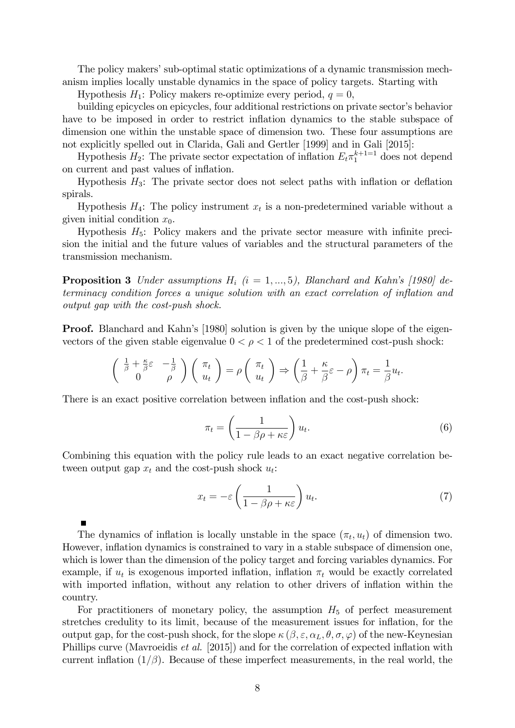The policy makers' sub-optimal static optimizations of a dynamic transmission mechanism implies locally unstable dynamics in the space of policy targets. Starting with

Hypothesis  $H_1$ : Policy makers re-optimize every period,  $q = 0$ ,

building epicycles on epicycles, four additional restrictions on private sector's behavior have to be imposed in order to restrict inflation dynamics to the stable subspace of dimension one within the unstable space of dimension two. These four assumptions are not explicitly spelled out in Clarida, Gali and Gertler [1999] and in Gali [2015]:

Hypothesis  $H_2$ : The private sector expectation of inflation  $E_t \pi_1^{k+1=1}$  does not depend on current and past values of inflation.

Hypothesis  $H_3$ : The private sector does not select paths with inflation or deflation spirals.

Hypothesis  $H_4$ : The policy instrument  $x_t$  is a non-predetermined variable without a given initial condition  $x_0$ .

Hypothesis  $H_5$ : Policy makers and the private sector measure with infinite precision the initial and the future values of variables and the structural parameters of the transmission mechanism.

**Proposition 3** Under assumptions  $H_i$  (i = 1, ..., 5), Blanchard and Kahn's [1980] determinacy condition forces a unique solution with an exact correlation of inflation and output gap with the cost-push shock.

**Proof.** Blanchard and Kahn's [1980] solution is given by the unique slope of the eigenvectors of the given stable eigenvalue  $0 < \rho < 1$  of the predetermined cost-push shock:

$$
\begin{pmatrix}\n\frac{1}{\beta} + \frac{\kappa}{\beta} \varepsilon & -\frac{1}{\beta} \\
0 & \rho\n\end{pmatrix}\n\begin{pmatrix}\n\pi_t \\
u_t\n\end{pmatrix} = \rho \begin{pmatrix}\n\pi_t \\
u_t\n\end{pmatrix} \Rightarrow \begin{pmatrix}\n\frac{1}{\beta} + \frac{\kappa}{\beta} \varepsilon - \rho\n\end{pmatrix}\n\pi_t = \frac{1}{\beta} u_t.
$$

There is an exact positive correlation between inflation and the cost-push shock:

$$
\pi_t = \left(\frac{1}{1 - \beta \rho + \kappa \varepsilon}\right) u_t.
$$
\n(6)

Combining this equation with the policy rule leads to an exact negative correlation between output gap  $x_t$  and the cost-push shock  $u_t$ :

$$
x_t = -\varepsilon \left( \frac{1}{1 - \beta \rho + \kappa \varepsilon} \right) u_t.
$$
 (7)

The dynamics of inflation is locally unstable in the space  $(\pi_t, u_t)$  of dimension two. However, inflation dynamics is constrained to vary in a stable subspace of dimension one, which is lower than the dimension of the policy target and forcing variables dynamics. For example, if  $u_t$  is exogenous imported inflation, inflation  $\pi_t$  would be exactly correlated with imported inflation, without any relation to other drivers of inflation within the country.

For practitioners of monetary policy, the assumption  $H_5$  of perfect measurement stretches credulity to its limit, because of the measurement issues for inflation, for the output gap, for the cost-push shock, for the slope  $\kappa(\beta, \varepsilon, \alpha_L, \theta, \sigma, \varphi)$  of the new-Keynesian Phillips curve (Mavroeidis *et al.* [2015]) and for the correlation of expected inflation with current inflation  $(1/\beta)$ . Because of these imperfect measurements, in the real world, the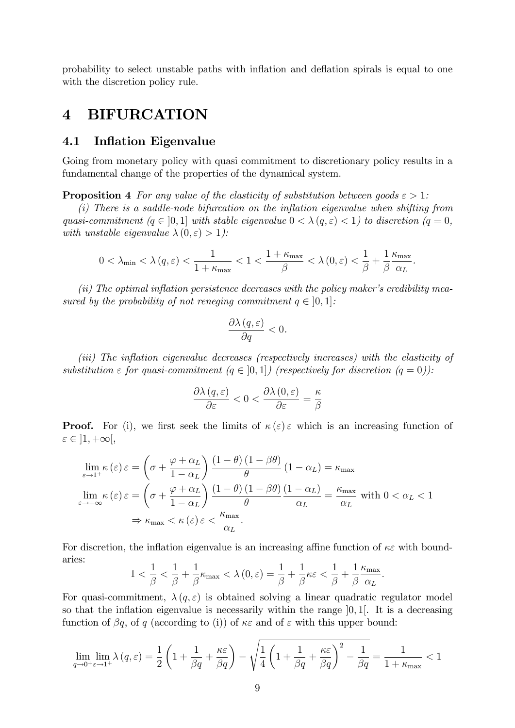probability to select unstable paths with ináation and deáation spirals is equal to one with the discretion policy rule.

### 4 BIFURCATION

### 4.1 Inflation Eigenvalue

Going from monetary policy with quasi commitment to discretionary policy results in a fundamental change of the properties of the dynamical system.

**Proposition 4** For any value of the elasticity of substitution between goods  $\epsilon > 1$ :

 $(i)$  There is a saddle-node bifurcation on the inflation eigenvalue when shifting from quasi-commitment  $(q \in [0, 1]$  with stable eigenvalue  $0 < \lambda (q, \varepsilon) < 1$ ) to discretion  $(q = 0, 1]$ with unstable eigenvalue  $\lambda(0, \varepsilon) > 1$ :

$$
0<\lambda_{\min}<\lambda\left(q,\varepsilon\right)<\frac{1}{1+\kappa_{\max}}<1<\frac{1+\kappa_{\max}}{\beta}<\lambda\left(0,\varepsilon\right)<\frac{1}{\beta}+\frac{1}{\beta}\frac{\kappa_{\max}}{\alpha_{L}}.
$$

 $(ii)$  The optimal inflation persistence decreases with the policy maker's credibility measured by the probability of not reneging commitment  $q \in [0, 1]$ :

$$
\frac{\partial \lambda (q, \varepsilon)}{\partial q} < 0.
$$

(iii) The inflation eigenvalue decreases (respectively increases) with the elasticity of substitution  $\varepsilon$  for quasi-commitment  $(q \in [0, 1])$  (respectively for discretion  $(q = 0)$ ):

$$
\frac{\partial \lambda \left( q,\varepsilon \right)}{\partial \varepsilon }<0<\frac{\partial \lambda \left( 0,\varepsilon \right)}{\partial \varepsilon }=\frac{\kappa }{\beta }
$$

**Proof.** For (i), we first seek the limits of  $\kappa(\varepsilon) \in \mathcal{E}$  which is an increasing function of  $\varepsilon \in \left] 1, +\infty \right[,$ 

$$
\lim_{\varepsilon \to 1^{+}} \kappa(\varepsilon) \varepsilon = \left(\sigma + \frac{\varphi + \alpha_{L}}{1 - \alpha_{L}}\right) \frac{(1 - \theta)(1 - \beta\theta)}{\theta} (1 - \alpha_{L}) = \kappa_{\max}
$$
\n
$$
\lim_{\varepsilon \to +\infty} \kappa(\varepsilon) \varepsilon = \left(\sigma + \frac{\varphi + \alpha_{L}}{1 - \alpha_{L}}\right) \frac{(1 - \theta)(1 - \beta\theta)}{\theta} \frac{(1 - \alpha_{L})}{\alpha_{L}} = \frac{\kappa_{\max}}{\alpha_{L}} \text{ with } 0 < \alpha_{L} < 1
$$
\n
$$
\Rightarrow \kappa_{\max} < \kappa(\varepsilon) \varepsilon < \frac{\kappa_{\max}}{\alpha_{L}}.
$$

For discretion, the inflation eigenvalue is an increasing affine function of  $\kappa \varepsilon$  with boundaries:

$$
1 < \frac{1}{\beta} < \frac{1}{\beta} + \frac{1}{\beta} \kappa_{\max} < \lambda(0, \varepsilon) = \frac{1}{\beta} + \frac{1}{\beta} \kappa \varepsilon < \frac{1}{\beta} + \frac{1}{\beta} \frac{\kappa_{\max}}{\alpha_L}.
$$

For quasi-commitment,  $\lambda(q,\varepsilon)$  is obtained solving a linear quadratic regulator model so that the inflation eigenvalue is necessarily within the range  $[0, 1]$ . It is a decreasing function of  $\beta q$ , of q (according to (i)) of  $\kappa \varepsilon$  and of  $\varepsilon$  with this upper bound:

$$
\lim_{q \to 0^+ \varepsilon \to 1^+} \lambda(q, \varepsilon) = \frac{1}{2} \left( 1 + \frac{1}{\beta q} + \frac{\kappa \varepsilon}{\beta q} \right) - \sqrt{\frac{1}{4} \left( 1 + \frac{1}{\beta q} + \frac{\kappa \varepsilon}{\beta q} \right)^2 - \frac{1}{\beta q}} = \frac{1}{1 + \kappa_{\max}} < 1
$$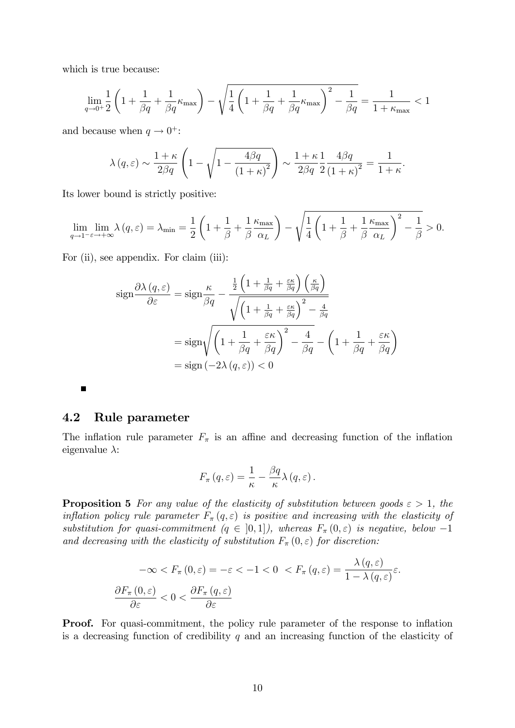which is true because:

$$
\lim_{q\to 0^+}\frac{1}{2}\left(1+\frac{1}{\beta q}+\frac{1}{\beta q}\kappa_{\max}\right)-\sqrt{\frac{1}{4}\left(1+\frac{1}{\beta q}+\frac{1}{\beta q}\kappa_{\max}\right)^2-\frac{1}{\beta q}}=\frac{1}{1+\kappa_{\max}}<1
$$

and because when  $q \to 0^+$ :

$$
\lambda(q,\varepsilon) \sim \frac{1+\kappa}{2\beta q} \left(1 - \sqrt{1 - \frac{4\beta q}{\left(1+\kappa\right)^2}}\right) \sim \frac{1+\kappa}{2\beta q} \frac{1}{2} \frac{4\beta q}{\left(1+\kappa\right)^2} = \frac{1}{1+\kappa}.
$$

Its lower bound is strictly positive:

$$
\lim_{q \to 1^{-} \varepsilon \to +\infty} \lambda(q, \varepsilon) = \lambda_{\min} = \frac{1}{2} \left( 1 + \frac{1}{\beta} + \frac{1}{\beta} \frac{\kappa_{\max}}{\alpha_L} \right) - \sqrt{\frac{1}{4} \left( 1 + \frac{1}{\beta} + \frac{1}{\beta} \frac{\kappa_{\max}}{\alpha_L} \right)^2 - \frac{1}{\beta}} > 0.
$$

For (ii), see appendix. For claim (iii):

$$
\operatorname{sign} \frac{\partial \lambda(q,\varepsilon)}{\partial \varepsilon} = \operatorname{sign} \frac{\kappa}{\beta q} - \frac{\frac{1}{2} \left( 1 + \frac{1}{\beta q} + \frac{\varepsilon \kappa}{\beta q} \right) \left( \frac{\kappa}{\beta q} \right)}{\sqrt{\left( 1 + \frac{1}{\beta q} + \frac{\varepsilon \kappa}{\beta q} \right)^2 - \frac{4}{\beta q}}}
$$
\n
$$
= \operatorname{sign} \sqrt{\left( 1 + \frac{1}{\beta q} + \frac{\varepsilon \kappa}{\beta q} \right)^2 - \frac{4}{\beta q}} - \left( 1 + \frac{1}{\beta q} + \frac{\varepsilon \kappa}{\beta q} \right)
$$
\n
$$
= \operatorname{sign} \left( -2\lambda(q,\varepsilon) \right) < 0
$$

П

### 4.2 Rule parameter

The inflation rule parameter  $F_{\pi}$  is an affine and decreasing function of the inflation eigenvalue  $\lambda$ :

$$
F_{\pi}(q,\varepsilon)=\frac{1}{\kappa}-\frac{\beta q}{\kappa}\lambda(q,\varepsilon).
$$

**Proposition 5** For any value of the elasticity of substitution between goods  $\varepsilon > 1$ , the inflation policy rule parameter  $F_{\pi}(q, \varepsilon)$  is positive and increasing with the elasticity of substitution for quasi-commitment  $(q \in [0,1])$ , whereas  $F_{\pi}(0,\varepsilon)$  is negative, below  $-1$ and decreasing with the elasticity of substitution  $F_{\pi}(0,\varepsilon)$  for discretion:

$$
-\infty < F_{\pi}(0, \varepsilon) = -\varepsilon < -1 < 0 < F_{\pi}(q, \varepsilon) = \frac{\lambda(q, \varepsilon)}{1 - \lambda(q, \varepsilon)} \varepsilon.
$$
\n
$$
\frac{\partial F_{\pi}(0, \varepsilon)}{\partial \varepsilon} < 0 < \frac{\partial F_{\pi}(q, \varepsilon)}{\partial \varepsilon}
$$

**Proof.** For quasi-commitment, the policy rule parameter of the response to inflation is a decreasing function of credibility  $q$  and an increasing function of the elasticity of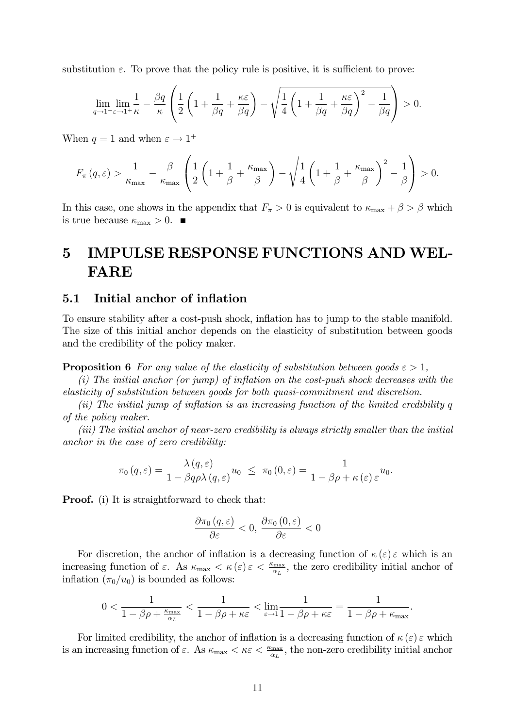substitution  $\varepsilon$ . To prove that the policy rule is positive, it is sufficient to prove:

$$
\lim_{q \to 1^-} \lim_{\varepsilon \to 1^+} \frac{1}{\kappa} - \frac{\beta q}{\kappa} \left( \frac{1}{2} \left( 1 + \frac{1}{\beta q} + \frac{\kappa \varepsilon}{\beta q} \right) - \sqrt{\frac{1}{4} \left( 1 + \frac{1}{\beta q} + \frac{\kappa \varepsilon}{\beta q} \right)^2 - \frac{1}{\beta q}} \right) > 0.
$$

When  $q = 1$  and when  $\varepsilon \to 1^+$ 

$$
F_{\pi}(q,\varepsilon) > \frac{1}{\kappa_{\max}} - \frac{\beta}{\kappa_{\max}} \left( \frac{1}{2} \left( 1 + \frac{1}{\beta} + \frac{\kappa_{\max}}{\beta} \right) - \sqrt{\frac{1}{4} \left( 1 + \frac{1}{\beta} + \frac{\kappa_{\max}}{\beta} \right)^2 - \frac{1}{\beta}} \right) > 0.
$$

In this case, one shows in the appendix that  $F_{\pi} > 0$  is equivalent to  $\kappa_{\max} + \beta > \beta$  which is true because  $\kappa_{\text{max}} > 0$ .

# 5 IMPULSE RESPONSE FUNCTIONS AND WEL-FARE

### 5.1 Initial anchor of inflation

To ensure stability after a cost-push shock, inflation has to jump to the stable manifold. The size of this initial anchor depends on the elasticity of substitution between goods and the credibility of the policy maker.

**Proposition 6** For any value of the elasticity of substitution between goods  $\epsilon > 1$ ,

 $(i)$  The initial anchor (or jump) of inflation on the cost-push shock decreases with the elasticity of substitution between goods for both quasi-commitment and discretion.

(ii) The initial jump of inflation is an increasing function of the limited credibility  $q$ of the policy maker.

(iii) The initial anchor of near-zero credibility is always strictly smaller than the initial anchor in the case of zero credibility:

$$
\pi_0(q,\varepsilon)=\frac{\lambda(q,\varepsilon)}{1-\beta q\rho\lambda(q,\varepsilon)}u_0\ \le\ \pi_0\left(0,\varepsilon\right)=\frac{1}{1-\beta\rho+\kappa(\varepsilon)\,\varepsilon}u_0.
$$

**Proof.** (i) It is straightforward to check that:

$$
\frac{\partial\pi_{0}\left(q,\varepsilon\right)}{\partial\varepsilon}<0,\,\frac{\partial\pi_{0}\left(0,\varepsilon\right)}{\partial\varepsilon}<0
$$

For discretion, the anchor of inflation is a decreasing function of  $\kappa(\varepsilon) \varepsilon$  which is an increasing function of  $\varepsilon$ . As  $\kappa_{\max} < \kappa(\varepsilon) \varepsilon < \frac{\kappa_{\max}}{\alpha_L}$ , the zero credibility initial anchor of inflation  $(\pi_0/u_0)$  is bounded as follows:

$$
0 < \frac{1}{1 - \beta \rho + \frac{\kappa_{\max}}{\alpha_L}} < \frac{1}{1 - \beta \rho + \kappa \varepsilon} < \lim_{\varepsilon \to 1} \frac{1}{1 - \beta \rho + \kappa \varepsilon} = \frac{1}{1 - \beta \rho + \kappa_{\max}}.
$$

For limited credibility, the anchor of inflation is a decreasing function of  $\kappa(\varepsilon) \varepsilon$  which is an increasing function of  $\varepsilon$ . As  $\kappa_{\max} < \kappa \varepsilon < \frac{\kappa_{\max}}{\alpha_L}$ , the non-zero credibility initial anchor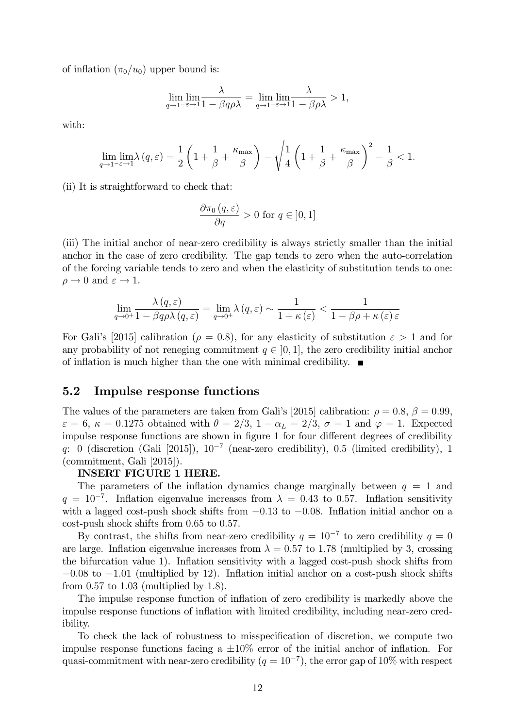of inflation  $(\pi_0/u_0)$  upper bound is:

$$
\lim_{q \to 1^{-\varepsilon}} \lim_{\varepsilon \to 1} \frac{\lambda}{1 - \beta q \rho \lambda} = \lim_{q \to 1^{-\varepsilon}} \lim_{\varepsilon \to 1} \frac{\lambda}{1 - \beta \rho \lambda} > 1,
$$

with:

$$
\lim_{q \to 1^{-} \varepsilon \to 1} \lim_{\delta \to 1^{-}} \lambda(q, \varepsilon) = \frac{1}{2} \left( 1 + \frac{1}{\beta} + \frac{\kappa_{\max}}{\beta} \right) - \sqrt{\frac{1}{4} \left( 1 + \frac{1}{\beta} + \frac{\kappa_{\max}}{\beta} \right)^2 - \frac{1}{\beta}} < 1.
$$

(ii) It is straightforward to check that:

$$
\frac{\partial \pi_0(q,\varepsilon)}{\partial q} > 0 \text{ for } q \in [0,1]
$$

(iii) The initial anchor of near-zero credibility is always strictly smaller than the initial anchor in the case of zero credibility. The gap tends to zero when the auto-correlation of the forcing variable tends to zero and when the elasticity of substitution tends to one:  $\rho \rightarrow 0$  and  $\varepsilon \rightarrow 1$ .

$$
\lim_{q \to 0^+} \frac{\lambda(q, \varepsilon)}{1 - \beta q \rho \lambda(q, \varepsilon)} = \lim_{q \to 0^+} \lambda(q, \varepsilon) \sim \frac{1}{1 + \kappa(\varepsilon)} < \frac{1}{1 - \beta \rho + \kappa(\varepsilon) \varepsilon}
$$

For Gali's [2015] calibration ( $\rho = 0.8$ ), for any elasticity of substitution  $\varepsilon > 1$  and for any probability of not reneging commitment  $q \in [0, 1]$ , the zero credibility initial anchor of inflation is much higher than the one with minimal credibility.  $\blacksquare$ 

### 5.2 Impulse response functions

The values of the parameters are taken from Gali's [2015] calibration:  $\rho = 0.8$ ,  $\beta = 0.99$ ,  $\varepsilon = 6$ ,  $\kappa = 0.1275$  obtained with  $\theta = 2/3$ ,  $1 - \alpha_L = 2/3$ ,  $\sigma = 1$  and  $\varphi = 1$ . Expected impulse response functions are shown in figure 1 for four different degrees of credibility q: 0 (discretion (Gali [2015]),  $10^{-7}$  (near-zero credibility), 0.5 (limited credibility), 1 (commitment, Gali [2015]).

### INSERT FIGURE 1 HERE.

The parameters of the inflation dynamics change marginally between  $q = 1$  and  $q = 10^{-7}$ . Inflation eigenvalue increases from  $\lambda = 0.43$  to 0.57. Inflation sensitivity with a lagged cost-push shock shifts from  $-0.13$  to  $-0.08$ . Inflation initial anchor on a cost-push shock shifts from 0.65 to 0.57.

By contrast, the shifts from near-zero credibility  $q = 10^{-7}$  to zero credibility  $q = 0$ are large. Inflation eigenvalue increases from  $\lambda = 0.57$  to 1.78 (multiplied by 3, crossing the bifurcation value 1). Inflation sensitivity with a lagged cost-push shock shifts from  $-0.08$  to  $-1.01$  (multiplied by 12). Inflation initial anchor on a cost-push shock shifts from  $0.57$  to  $1.03$  (multiplied by  $1.8$ ).

The impulse response function of inflation of zero credibility is markedly above the impulse response functions of ináation with limited credibility, including near-zero credibility.

To check the lack of robustness to misspecification of discretion, we compute two impulse response functions facing a  $\pm 10\%$  error of the initial anchor of inflation. For quasi-commitment with near-zero credibility  $(q = 10^{-7})$ , the error gap of 10% with respect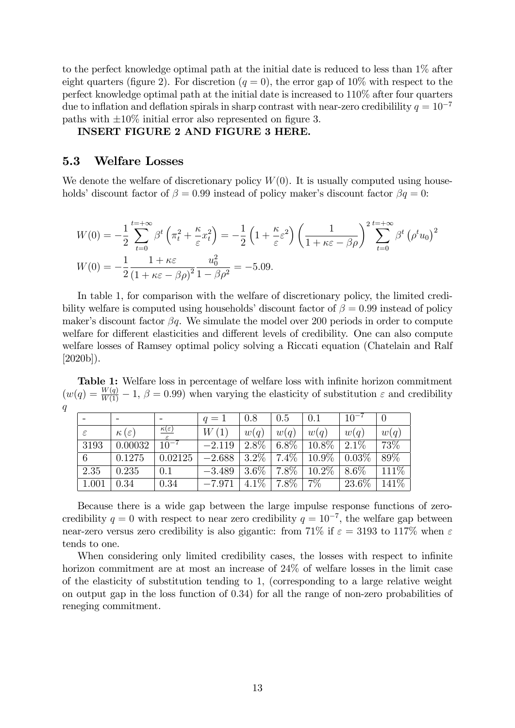to the perfect knowledge optimal path at the initial date is reduced to less than 1% after eight quarters (figure 2). For discretion ( $q = 0$ ), the error gap of 10% with respect to the perfect knowledge optimal path at the initial date is increased to 110% after four quarters due to inflation and deflation spirals in sharp contrast with near-zero credibilility  $q = 10^{-7}$ paths with  $\pm 10\%$  initial error also represented on figure 3.

### INSERT FIGURE 2 AND FIGURE 3 HERE.

### 5.3 Welfare Losses

We denote the welfare of discretionary policy  $W(0)$ . It is usually computed using households' discount factor of  $\beta = 0.99$  instead of policy maker's discount factor  $\beta q = 0$ :

$$
W(0) = -\frac{1}{2} \sum_{t=0}^{t=+\infty} \beta^t \left(\pi_t^2 + \frac{\kappa}{\varepsilon} x_t^2\right) = -\frac{1}{2} \left(1 + \frac{\kappa}{\varepsilon} \varepsilon^2\right) \left(\frac{1}{1 + \kappa \varepsilon - \beta \rho}\right)^2 \sum_{t=0}^{t=+\infty} \beta^t \left(\rho^t u_0\right)^2
$$
  

$$
W(0) = -\frac{1}{2} \frac{1 + \kappa \varepsilon}{\left(1 + \kappa \varepsilon - \beta \rho\right)^2} \frac{u_0^2}{1 - \beta \rho^2} = -5.09.
$$

In table 1, for comparison with the welfare of discretionary policy, the limited credibility welfare is computed using households' discount factor of  $\beta = 0.99$  instead of policy maker's discount factor  $\beta q$ . We simulate the model over 200 periods in order to compute welfare for different elasticities and different levels of credibility. One can also compute welfare losses of Ramsey optimal policy solving a Riccati equation (Chatelain and Ralf  $[2020b]$ ).

Table 1: Welfare loss in percentage of welfare loss with infinite horizon commitment  $(w(q) = \frac{W(q)}{W(1)} - 1, \beta = 0.99)$  when varying the elasticity of substitution  $\varepsilon$  and credibility q

|               |                       |                                 | $q=1$    | 0.8     | 0.5               | 0.1           | $10^{-7}$ |       |
|---------------|-----------------------|---------------------------------|----------|---------|-------------------|---------------|-----------|-------|
| $\varepsilon$ | $\kappa(\varepsilon)$ | $\frac{\kappa(\varepsilon)}{2}$ | W(1)     | w(q)    | w(q)              | w(q)          | w(q)      | w(q)  |
| 3193          | 0.00032               | $10^{-7}$                       | $-2.119$ | $2.8\%$ | $6.8\%$           | $10.8\%$      | $2.1\%$   | 73\%  |
| 6             | 0.1275                | 0.02125                         | $-2.688$ |         | $3.2\%$   7.4\%   | $10.9\%$      | 0.03%     | 89%   |
| 2.35          | 0.235                 | 0.1                             | $-3.489$ | $3.6\%$ | $\mid 7.8\% \mid$ | $\mid$ 10.2\% | 8.6%      | 111%  |
| 1.001         | 0.34                  | 0.34                            | $-7.971$ | $4.1\%$ | $\mid 7.8\% \mid$ | $7\%$         | 23.6\%    | 141\% |

Because there is a wide gap between the large impulse response functions of zerocredibility  $q = 0$  with respect to near zero credibility  $q = 10^{-7}$ , the welfare gap between near-zero versus zero credibility is also gigantic: from 71% if  $\varepsilon = 3193$  to 117% when  $\varepsilon$ tends to one.

When considering only limited credibility cases, the losses with respect to infinite horizon commitment are at most an increase of 24% of welfare losses in the limit case of the elasticity of substitution tending to 1, (corresponding to a large relative weight on output gap in the loss function of 0:34) for all the range of non-zero probabilities of reneging commitment.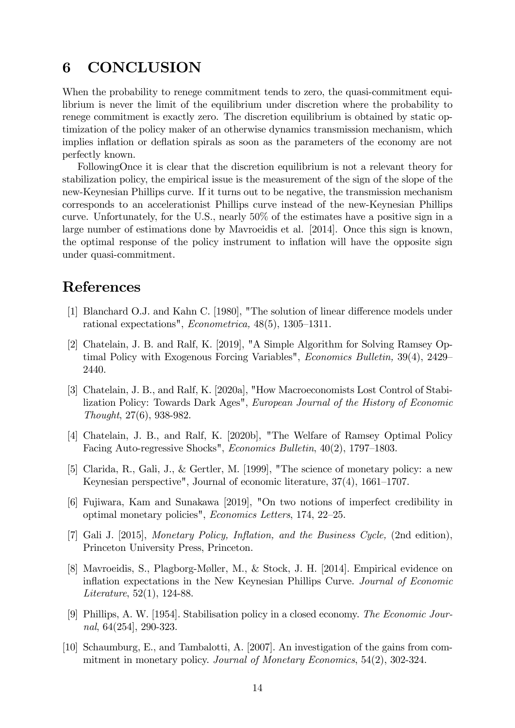# 6 CONCLUSION

When the probability to renege commitment tends to zero, the quasi-commitment equilibrium is never the limit of the equilibrium under discretion where the probability to renege commitment is exactly zero. The discretion equilibrium is obtained by static optimization of the policy maker of an otherwise dynamics transmission mechanism, which implies inflation or deflation spirals as soon as the parameters of the economy are not perfectly known.

FollowingOnce it is clear that the discretion equilibrium is not a relevant theory for stabilization policy, the empirical issue is the measurement of the sign of the slope of the new-Keynesian Phillips curve. If it turns out to be negative, the transmission mechanism corresponds to an accelerationist Phillips curve instead of the new-Keynesian Phillips curve. Unfortunately, for the U.S., nearly 50% of the estimates have a positive sign in a large number of estimations done by Mavroeidis et al. [2014]. Once this sign is known, the optimal response of the policy instrument to ináation will have the opposite sign under quasi-commitment.

### References

- [1] Blanchard O.J. and Kahn C. [1980], "The solution of linear difference models under rational expectations", *Econometrica*,  $48(5)$ ,  $1305-1311$ .
- [2] Chatelain, J. B. and Ralf, K. [2019], "A Simple Algorithm for Solving Ramsey Optimal Policy with Exogenous Forcing Variables", *Economics Bulletin*,  $39(4)$ ,  $2429$ 2440.
- [3] Chatelain, J. B., and Ralf, K. [2020a], "How Macroeconomists Lost Control of Stabilization Policy: Towards Dark Ages", European Journal of the History of Economic Thought, 27(6), 938-982.
- [4] Chatelain, J. B., and Ralf, K. [2020b], "The Welfare of Ramsey Optimal Policy Facing Auto-regressive Shocks", *Economics Bulletin*,  $40(2)$ , 1797–1803.
- [5] Clarida, R., Gali, J., & Gertler, M. [1999], "The science of monetary policy: a new Keynesian perspective", Journal of economic literature,  $37(4)$ ,  $1661-1707$ .
- [6] Fujiwara, Kam and Sunakawa [2019], "On two notions of imperfect credibility in optimal monetary policies", Economics Letters, 174, 22-25.
- [7] Gali J. [2015], Monetary Policy, Inflation, and the Business Cycle, (2nd edition), Princeton University Press, Princeton.
- [8] Mavroeidis, S., Plagborg-Møller, M., & Stock, J. H. [2014]. Empirical evidence on inflation expectations in the New Keynesian Phillips Curve. Journal of Economic Literature, 52(1), 124-88.
- [9] Phillips, A. W. [1954]. Stabilisation policy in a closed economy. The Economic Journal, 64(254], 290-323.
- [10] Schaumburg, E., and Tambalotti, A. [2007]. An investigation of the gains from commitment in monetary policy. Journal of Monetary Economics, 54(2), 302-324.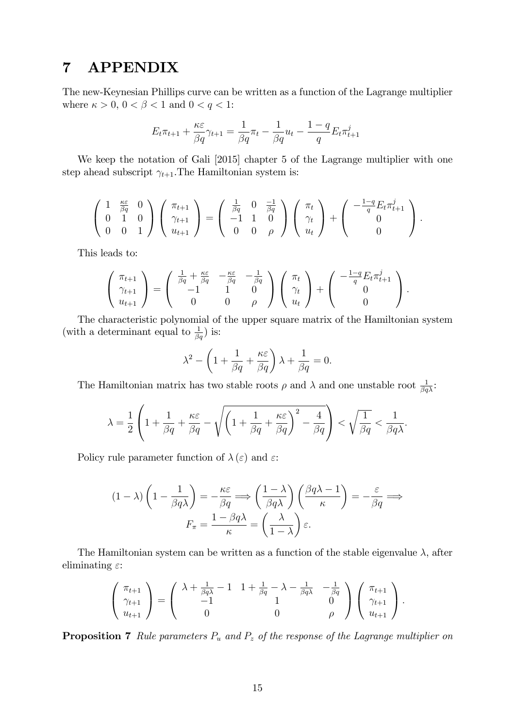# 7 APPENDIX

The new-Keynesian Phillips curve can be written as a function of the Lagrange multiplier where  $\kappa > 0$ ,  $0 < \beta < 1$  and  $0 < q < 1$ :

$$
E_t \pi_{t+1} + \frac{\kappa \varepsilon}{\beta q} \gamma_{t+1} = \frac{1}{\beta q} \pi_t - \frac{1}{\beta q} u_t - \frac{1-q}{q} E_t \pi_{t+1}^j
$$

We keep the notation of Gali [2015] chapter 5 of the Lagrange multiplier with one step ahead subscript  $\gamma_{t+1}$ . The Hamiltonian system is:

$$
\begin{pmatrix} 1 & \frac{\kappa \varepsilon}{\beta q} & 0 \\ 0 & 1 & 0 \\ 0 & 0 & 1 \end{pmatrix} \begin{pmatrix} \pi_{t+1} \\ \gamma_{t+1} \\ u_{t+1} \end{pmatrix} = \begin{pmatrix} \frac{1}{\beta q} & 0 & \frac{-1}{\beta q} \\ -1 & 1 & 0 \\ 0 & 0 & \rho \end{pmatrix} \begin{pmatrix} \pi_t \\ \gamma_t \\ u_t \end{pmatrix} + \begin{pmatrix} -\frac{1-q}{q} E_t \pi_{t+1}^j \\ 0 \\ 0 \end{pmatrix}.
$$

This leads to:

$$
\begin{pmatrix} \pi_{t+1} \\ \gamma_{t+1} \\ u_{t+1} \end{pmatrix} = \begin{pmatrix} \frac{1}{\beta q} + \frac{\kappa \varepsilon}{\beta q} & -\frac{\kappa \varepsilon}{\beta q} & -\frac{1}{\beta q} \\ -1 & 1 & 0 \\ 0 & 0 & \rho \end{pmatrix} \begin{pmatrix} \pi_t \\ \gamma_t \\ u_t \end{pmatrix} + \begin{pmatrix} -\frac{1-q}{q} E_t \pi_{t+1}^j \\ 0 \\ 0 \end{pmatrix}.
$$

The characteristic polynomial of the upper square matrix of the Hamiltonian system (with a determinant equal to  $\frac{1}{\beta q}$ ) is:

$$
\lambda^{2} - \left(1 + \frac{1}{\beta q} + \frac{\kappa \varepsilon}{\beta q}\right)\lambda + \frac{1}{\beta q} = 0.
$$

The Hamiltonian matrix has two stable roots  $\rho$  and  $\lambda$  and one unstable root  $\frac{1}{\beta q\lambda}$ .

$$
\lambda = \frac{1}{2} \left( 1 + \frac{1}{\beta q} + \frac{\kappa \varepsilon}{\beta q} - \sqrt{\left( 1 + \frac{1}{\beta q} + \frac{\kappa \varepsilon}{\beta q} \right)^2 - \frac{4}{\beta q}} \right) < \sqrt{\frac{1}{\beta q}} < \frac{1}{\beta q \lambda}.
$$

Policy rule parameter function of  $\lambda(\varepsilon)$  and  $\varepsilon$ :

$$
(1 - \lambda) \left(1 - \frac{1}{\beta q \lambda}\right) = -\frac{\kappa \varepsilon}{\beta q} \Longrightarrow \left(\frac{1 - \lambda}{\beta q \lambda}\right) \left(\frac{\beta q \lambda - 1}{\kappa}\right) = -\frac{\varepsilon}{\beta q} \Longrightarrow
$$

$$
F_{\pi} = \frac{1 - \beta q \lambda}{\kappa} = \left(\frac{\lambda}{1 - \lambda}\right) \varepsilon.
$$

The Hamiltonian system can be written as a function of the stable eigenvalue  $\lambda$ , after eliminating  $\varepsilon$ :

$$
\begin{pmatrix} \pi_{t+1} \\ \gamma_{t+1} \\ u_{t+1} \end{pmatrix} = \begin{pmatrix} \lambda + \frac{1}{\beta q \lambda} - 1 & 1 + \frac{1}{\beta q} - \lambda - \frac{1}{\beta q \lambda} & -\frac{1}{\beta q} \\ -1 & 1 & 0 \\ 0 & 0 & \rho \end{pmatrix} \begin{pmatrix} \pi_{t+1} \\ \gamma_{t+1} \\ u_{t+1} \end{pmatrix}.
$$

**Proposition 7** Rule parameters  $P_u$  and  $P_z$  of the response of the Lagrange multiplier on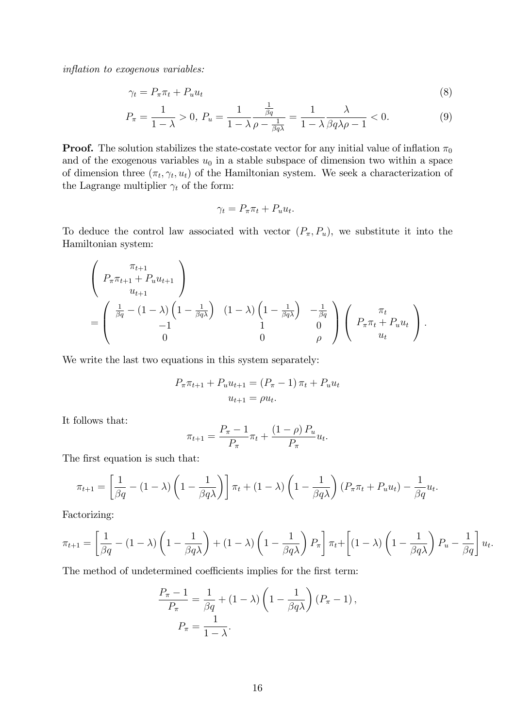inflation to exogenous variables:

$$
\gamma_t = P_\pi \pi_t + P_u u_t \tag{8}
$$

$$
P_{\pi} = \frac{1}{1 - \lambda} > 0, \ P_u = \frac{1}{1 - \lambda} \frac{\frac{1}{\beta q}}{\rho - \frac{1}{\beta q \lambda}} = \frac{1}{1 - \lambda} \frac{\lambda}{\beta q \lambda \rho - 1} < 0. \tag{9}
$$

1

**Proof.** The solution stabilizes the state-costate vector for any initial value of inflation  $\pi_0$ and of the exogenous variables  $u_0$  in a stable subspace of dimension two within a space of dimension three  $(\pi_t, \gamma_t, u_t)$  of the Hamiltonian system. We seek a characterization of the Lagrange multiplier  $\gamma_t$  of the form:

$$
\gamma_t = P_{\pi} \pi_t + P_u u_t.
$$

To deduce the control law associated with vector  $(P_{\pi}, P_{u})$ , we substitute it into the Hamiltonian system:

$$
\begin{pmatrix}\n\pi_{t+1} \\
P_{\pi}\pi_{t+1} + P_u u_{t+1} \\
u_{t+1} \\
\vdots \\
\pi_{t+1} \\
0\n\end{pmatrix}
$$
\n
$$
= \begin{pmatrix}\n\frac{1}{\beta q} - (1 - \lambda) \left(1 - \frac{1}{\beta q \lambda}\right) & (1 - \lambda) \left(1 - \frac{1}{\beta q \lambda}\right) & -\frac{1}{\beta q} \\
1 & 0 & 0 \\
0 & 0 & \rho\n\end{pmatrix} \begin{pmatrix}\n\pi_t \\
P_{\pi}\pi_t + P_u u_t \\
u_t\n\end{pmatrix}.
$$

We write the last two equations in this system separately:

$$
P_{\pi}\pi_{t+1} + P_{u}u_{t+1} = (P_{\pi} - 1)\pi_{t} + P_{u}u_{t}
$$

$$
u_{t+1} = \rho u_{t}.
$$

It follows that:

$$
\pi_{t+1} = \frac{P_{\pi} - 1}{P_{\pi}} \pi_t + \frac{(1 - \rho) P_u}{P_{\pi}} u_t.
$$

The first equation is such that:

$$
\pi_{t+1} = \left[\frac{1}{\beta q} - (1 - \lambda)\left(1 - \frac{1}{\beta q \lambda}\right)\right] \pi_t + (1 - \lambda)\left(1 - \frac{1}{\beta q \lambda}\right)\left(P_{\pi} \pi_t + P_u u_t\right) - \frac{1}{\beta q} u_t.
$$

Factorizing:

$$
\pi_{t+1} = \left[\frac{1}{\beta q} - (1 - \lambda)\left(1 - \frac{1}{\beta q \lambda}\right) + (1 - \lambda)\left(1 - \frac{1}{\beta q \lambda}\right)P_{\pi}\right]\pi_{t} + \left[(1 - \lambda)\left(1 - \frac{1}{\beta q \lambda}\right)P_{u} - \frac{1}{\beta q}\right]u_{t}
$$

:

The method of undetermined coefficients implies for the first term:

$$
\frac{P_{\pi} - 1}{P_{\pi}} = \frac{1}{\beta q} + (1 - \lambda) \left( 1 - \frac{1}{\beta q \lambda} \right) (P_{\pi} - 1),
$$
  

$$
P_{\pi} = \frac{1}{1 - \lambda}.
$$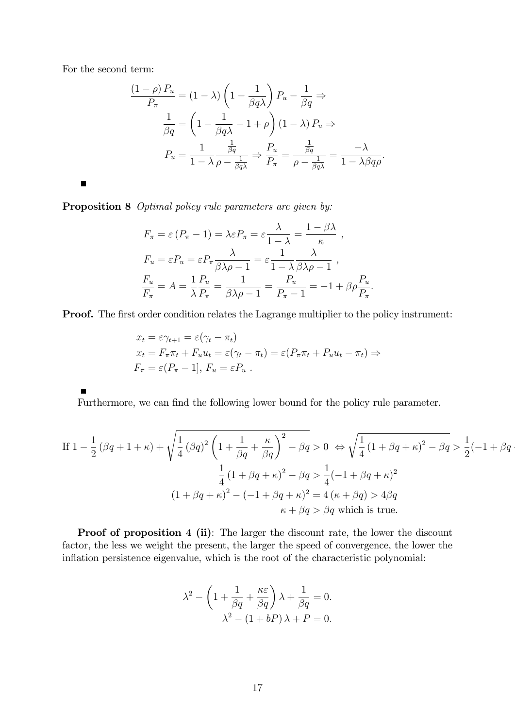For the second term:

$$
\frac{(1-\rho) P_u}{P_\pi} = (1-\lambda) \left(1 - \frac{1}{\beta q \lambda}\right) P_u - \frac{1}{\beta q} \Rightarrow
$$

$$
\frac{1}{\beta q} = \left(1 - \frac{1}{\beta q \lambda} - 1 + \rho\right) (1-\lambda) P_u \Rightarrow
$$

$$
P_u = \frac{1}{1-\lambda} \frac{\frac{1}{\beta q}}{\rho - \frac{1}{\beta q \lambda}} \Rightarrow \frac{P_u}{P_\pi} = \frac{\frac{1}{\beta q}}{\rho - \frac{1}{\beta q \lambda}} = \frac{-\lambda}{1-\lambda \beta q \rho}.
$$

 $\blacksquare$ 

Proposition 8 *Optimal policy rule parameters are given by:* 

$$
F_{\pi} = \varepsilon (P_{\pi} - 1) = \lambda \varepsilon P_{\pi} = \varepsilon \frac{\lambda}{1 - \lambda} = \frac{1 - \beta \lambda}{\kappa} ,
$$
  
\n
$$
F_{u} = \varepsilon P_{u} = \varepsilon P_{\pi} \frac{\lambda}{\beta \lambda \rho - 1} = \varepsilon \frac{1}{1 - \lambda} \frac{\lambda}{\beta \lambda \rho - 1} ,
$$
  
\n
$$
\frac{F_{u}}{F_{\pi}} = A = \frac{1}{\lambda} \frac{P_{u}}{P_{\pi}} = \frac{1}{\beta \lambda \rho - 1} = \frac{P_{u}}{P_{\pi} - 1} = -1 + \beta \rho \frac{P_{u}}{P_{\pi}}.
$$

**Proof.** The first order condition relates the Lagrange multiplier to the policy instrument:

$$
x_t = \varepsilon \gamma_{t+1} = \varepsilon (\gamma_t - \pi_t)
$$
  
\n
$$
x_t = F_{\pi} \pi_t + F_u u_t = \varepsilon (\gamma_t - \pi_t) = \varepsilon (P_{\pi} \pi_t + P_u u_t - \pi_t) \Rightarrow
$$
  
\n
$$
F_{\pi} = \varepsilon (P_{\pi} - 1], F_u = \varepsilon P_u.
$$

Furthermore, we can find the following lower bound for the policy rule parameter.

If 
$$
1 - \frac{1}{2} (\beta q + 1 + \kappa) + \sqrt{\frac{1}{4} (\beta q)^2 \left( 1 + \frac{1}{\beta q} + \frac{\kappa}{\beta q} \right)^2 - \beta q} > 0 \Leftrightarrow \sqrt{\frac{1}{4} (1 + \beta q + \kappa)^2 - \beta q} > \frac{1}{2} (-1 + \beta q + \kappa)^2
$$
  

$$
\frac{1}{4} (1 + \beta q + \kappa)^2 - \beta q > \frac{1}{4} (-1 + \beta q + \kappa)^2
$$

$$
(1 + \beta q + \kappa)^2 - (-1 + \beta q + \kappa)^2 = 4 (\kappa + \beta q) > 4\beta q
$$

$$
\kappa + \beta q > \beta q \text{ which is true.}
$$

Proof of proposition 4 (ii): The larger the discount rate, the lower the discount factor, the less we weight the present, the larger the speed of convergence, the lower the inflation persistence eigenvalue, which is the root of the characteristic polynomial:

$$
\lambda^{2} - \left(1 + \frac{1}{\beta q} + \frac{\kappa \varepsilon}{\beta q}\right)\lambda + \frac{1}{\beta q} = 0.
$$

$$
\lambda^{2} - (1 + bP)\lambda + P = 0.
$$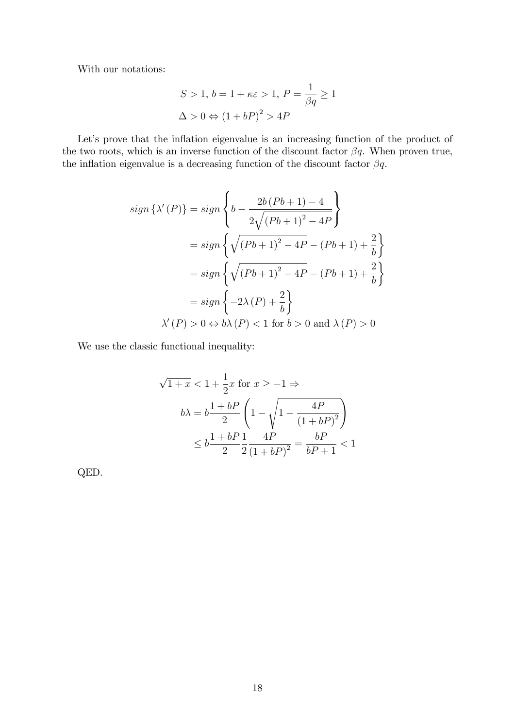With our notations:

$$
S > 1, b = 1 + \kappa \varepsilon > 1, P = \frac{1}{\beta q} \ge 1
$$
  

$$
\Delta > 0 \Leftrightarrow (1 + bP)^2 > 4P
$$

Let's prove that the inflation eigenvalue is an increasing function of the product of the two roots, which is an inverse function of the discount factor  $\beta q$ . When proven true, the inflation eigenvalue is a decreasing function of the discount factor  $\beta q$ .

$$
sign\{\lambda'(P)\} = sign\left\{b - \frac{2b(Pb+1) - 4}{2\sqrt{(Pb+1)^2 - 4P}}\right\}
$$

$$
= sign\left\{\sqrt{(Pb+1)^2 - 4P} - (Pb+1) + \frac{2}{b}\right\}
$$

$$
= sign\left\{\sqrt{(Pb+1)^2 - 4P} - (Pb+1) + \frac{2}{b}\right\}
$$

$$
= sign\left\{-2\lambda(P) + \frac{2}{b}\right\}
$$

$$
\lambda'(P) > 0 \Leftrightarrow b\lambda(P) < 1 \text{ for } b > 0 \text{ and } \lambda(P) > 0
$$

We use the classic functional inequality:

$$
\sqrt{1+x} < 1 + \frac{1}{2}x \text{ for } x \ge -1 \Rightarrow
$$
\n
$$
b\lambda = b\frac{1+bP}{2} \left(1 - \sqrt{1 - \frac{4P}{(1+bP)^2}}\right)
$$
\n
$$
\le b\frac{1+bP}{2}\frac{1}{2}\frac{4P}{(1+bP)^2} = \frac{bP}{bP+1} < 1
$$

QED.